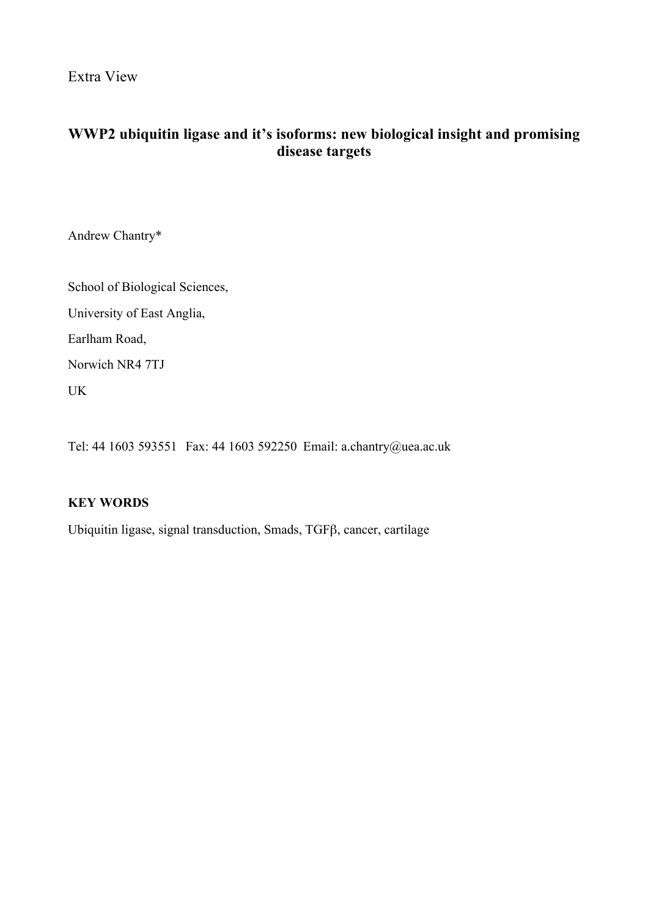Extra View

# **WWP2 ubiquitin ligase and it's isoforms: new biological insight and promising disease targets**

Andrew Chantry\*

School of Biological Sciences, University of East Anglia, Earlham Road, Norwich NR4 7TJ

UK

Tel: 44 1603 593551 Fax: 44 1603 592250 Email: a.chantry@uea.ac.uk

## **KEY WORDS**

Ubiquitin ligase, signal transduction, Smads, TGFβ, cancer, cartilage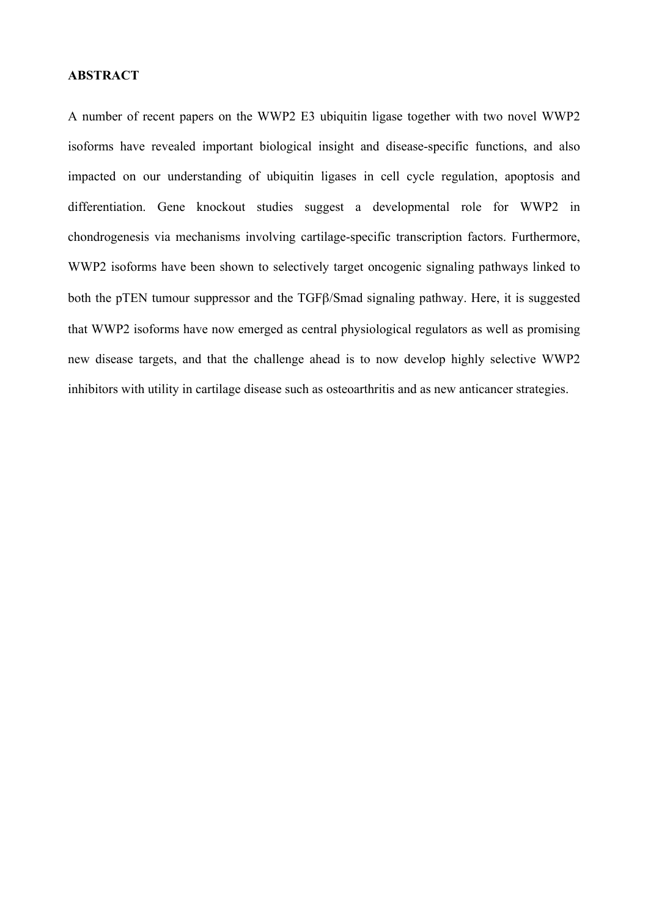## **ABSTRACT**

A number of recent papers on the WWP2 E3 ubiquitin ligase together with two novel WWP2 isoforms have revealed important biological insight and disease-specific functions, and also impacted on our understanding of ubiquitin ligases in cell cycle regulation, apoptosis and differentiation. Gene knockout studies suggest a developmental role for WWP2 in chondrogenesis via mechanisms involving cartilage-specific transcription factors. Furthermore, WWP2 isoforms have been shown to selectively target oncogenic signaling pathways linked to both the pTEN tumour suppressor and the TGFβ/Smad signaling pathway. Here, it is suggested that WWP2 isoforms have now emerged as central physiological regulators as well as promising new disease targets, and that the challenge ahead is to now develop highly selective WWP2 inhibitors with utility in cartilage disease such as osteoarthritis and as new anticancer strategies.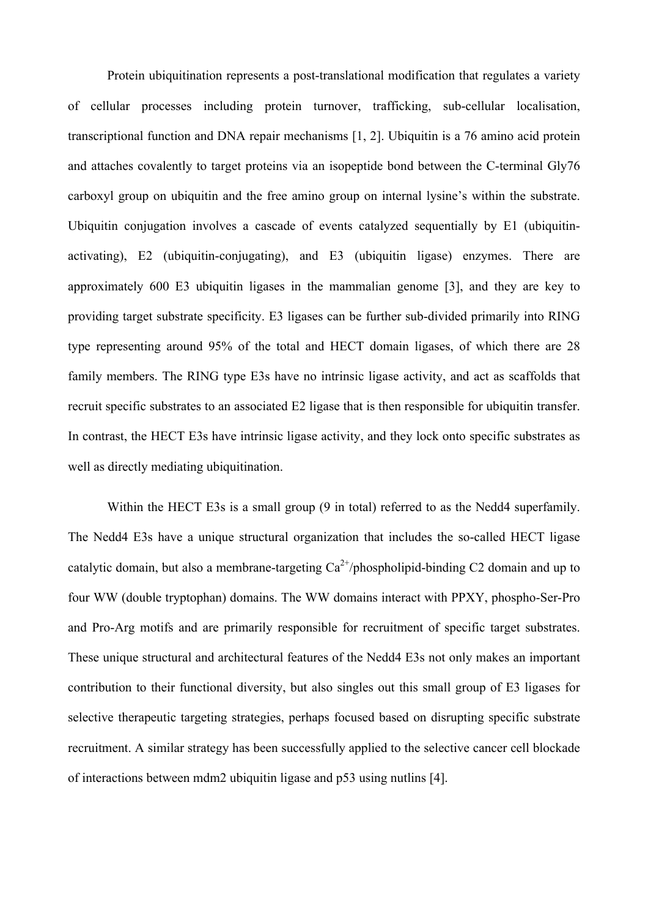Protein ubiquitination represents a post-translational modification that regulates a variety of cellular processes including protein turnover, trafficking, sub-cellular localisation, transcriptional function and DNA repair mechanisms [1, 2]. Ubiquitin is a 76 amino acid protein and attaches covalently to target proteins via an isopeptide bond between the C-terminal Gly76 carboxyl group on ubiquitin and the free amino group on internal lysine's within the substrate. Ubiquitin conjugation involves a cascade of events catalyzed sequentially by E1 (ubiquitinactivating), E2 (ubiquitin-conjugating), and E3 (ubiquitin ligase) enzymes. There are approximately 600 E3 ubiquitin ligases in the mammalian genome [3], and they are key to providing target substrate specificity. E3 ligases can be further sub-divided primarily into RING type representing around 95% of the total and HECT domain ligases, of which there are 28 family members. The RING type E3s have no intrinsic ligase activity, and act as scaffolds that recruit specific substrates to an associated E2 ligase that is then responsible for ubiquitin transfer. In contrast, the HECT E3s have intrinsic ligase activity, and they lock onto specific substrates as well as directly mediating ubiquitination.

Within the HECT E3s is a small group (9 in total) referred to as the Nedd4 superfamily. The Nedd4 E3s have a unique structural organization that includes the so-called HECT ligase catalytic domain, but also a membrane-targeting  $Ca^{2+}/phospholipid$ -binding C2 domain and up to four WW (double tryptophan) domains. The WW domains interact with PPXY, phospho-Ser-Pro and Pro-Arg motifs and are primarily responsible for recruitment of specific target substrates. These unique structural and architectural features of the Nedd4 E3s not only makes an important contribution to their functional diversity, but also singles out this small group of E3 ligases for selective therapeutic targeting strategies, perhaps focused based on disrupting specific substrate recruitment. A similar strategy has been successfully applied to the selective cancer cell blockade of interactions between mdm2 ubiquitin ligase and p53 using nutlins [4].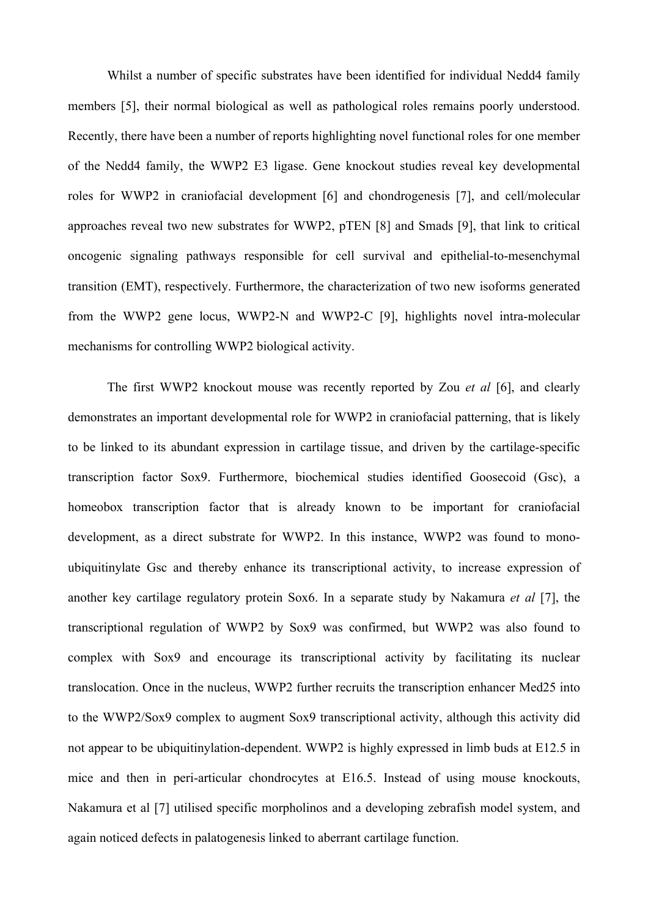Whilst a number of specific substrates have been identified for individual Nedd4 family members [5], their normal biological as well as pathological roles remains poorly understood. Recently, there have been a number of reports highlighting novel functional roles for one member of the Nedd4 family, the WWP2 E3 ligase. Gene knockout studies reveal key developmental roles for WWP2 in craniofacial development [6] and chondrogenesis [7], and cell/molecular approaches reveal two new substrates for WWP2, pTEN [8] and Smads [9], that link to critical oncogenic signaling pathways responsible for cell survival and epithelial-to-mesenchymal transition (EMT), respectively. Furthermore, the characterization of two new isoforms generated from the WWP2 gene locus, WWP2-N and WWP2-C [9], highlights novel intra-molecular mechanisms for controlling WWP2 biological activity.

The first WWP2 knockout mouse was recently reported by Zou *et al* [6], and clearly demonstrates an important developmental role for WWP2 in craniofacial patterning, that is likely to be linked to its abundant expression in cartilage tissue, and driven by the cartilage-specific transcription factor Sox9. Furthermore, biochemical studies identified Goosecoid (Gsc), a homeobox transcription factor that is already known to be important for craniofacial development, as a direct substrate for WWP2. In this instance, WWP2 was found to monoubiquitinylate Gsc and thereby enhance its transcriptional activity, to increase expression of another key cartilage regulatory protein Sox6. In a separate study by Nakamura *et al* [7], the transcriptional regulation of WWP2 by Sox9 was confirmed, but WWP2 was also found to complex with Sox9 and encourage its transcriptional activity by facilitating its nuclear translocation. Once in the nucleus, WWP2 further recruits the transcription enhancer Med25 into to the WWP2/Sox9 complex to augment Sox9 transcriptional activity, although this activity did not appear to be ubiquitinylation-dependent. WWP2 is highly expressed in limb buds at E12.5 in mice and then in peri-articular chondrocytes at E16.5. Instead of using mouse knockouts, Nakamura et al [7] utilised specific morpholinos and a developing zebrafish model system, and again noticed defects in palatogenesis linked to aberrant cartilage function.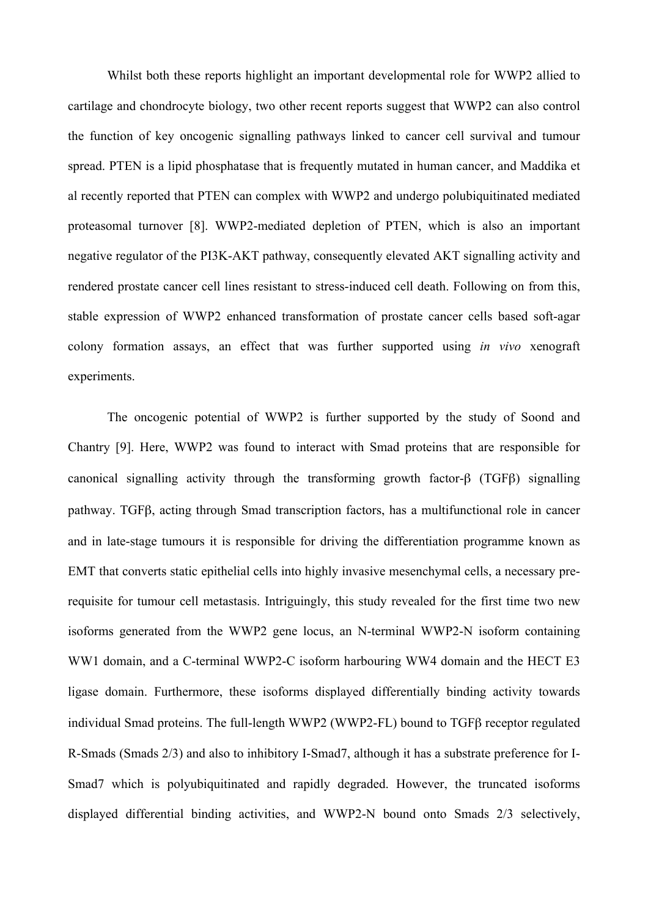Whilst both these reports highlight an important developmental role for WWP2 allied to cartilage and chondrocyte biology, two other recent reports suggest that WWP2 can also control the function of key oncogenic signalling pathways linked to cancer cell survival and tumour spread. PTEN is a lipid phosphatase that is frequently mutated in human cancer, and Maddika et al recently reported that PTEN can complex with WWP2 and undergo polubiquitinated mediated proteasomal turnover [8]. WWP2-mediated depletion of PTEN, which is also an important negative regulator of the PI3K-AKT pathway, consequently elevated AKT signalling activity and rendered prostate cancer cell lines resistant to stress-induced cell death. Following on from this, stable expression of WWP2 enhanced transformation of prostate cancer cells based soft-agar colony formation assays, an effect that was further supported using *in vivo* xenograft experiments.

The oncogenic potential of WWP2 is further supported by the study of Soond and Chantry [9]. Here, WWP2 was found to interact with Smad proteins that are responsible for canonical signalling activity through the transforming growth factor-β (TGFβ) signalling pathway. TGFβ, acting through Smad transcription factors, has a multifunctional role in cancer and in late-stage tumours it is responsible for driving the differentiation programme known as EMT that converts static epithelial cells into highly invasive mesenchymal cells, a necessary prerequisite for tumour cell metastasis. Intriguingly, this study revealed for the first time two new isoforms generated from the WWP2 gene locus, an N-terminal WWP2-N isoform containing WW1 domain, and a C-terminal WWP2-C isoform harbouring WW4 domain and the HECT E3 ligase domain. Furthermore, these isoforms displayed differentially binding activity towards individual Smad proteins. The full-length WWP2 (WWP2-FL) bound to TGFβ receptor regulated R-Smads (Smads 2/3) and also to inhibitory I-Smad7, although it has a substrate preference for I-Smad7 which is polyubiquitinated and rapidly degraded. However, the truncated isoforms displayed differential binding activities, and WWP2-N bound onto Smads 2/3 selectively,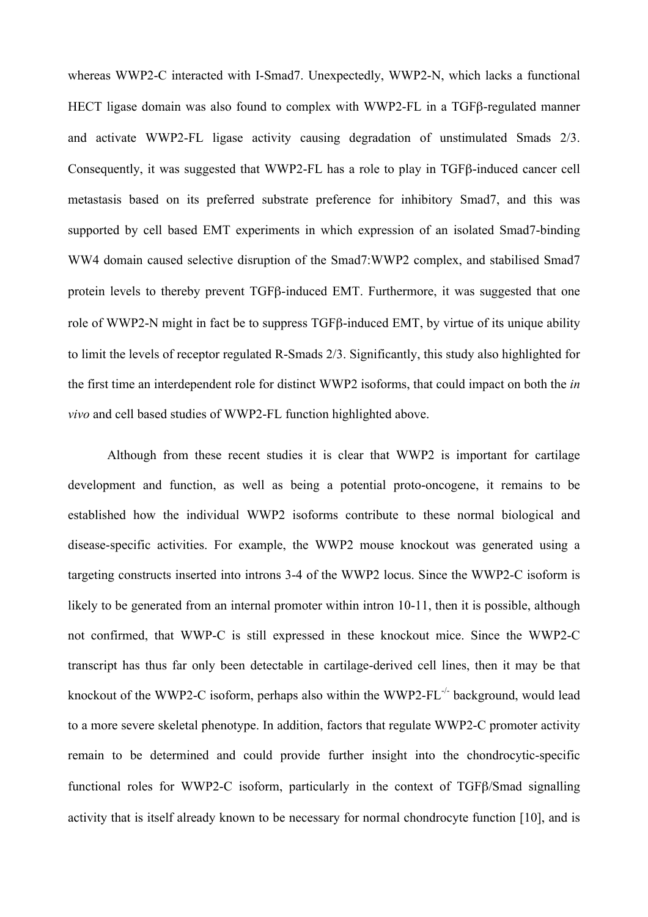whereas WWP2-C interacted with I-Smad7. Unexpectedly, WWP2-N, which lacks a functional HECT ligase domain was also found to complex with WWP2-FL in a TGFβ-regulated manner and activate WWP2-FL ligase activity causing degradation of unstimulated Smads 2/3. Consequently, it was suggested that WWP2-FL has a role to play in TGFβ-induced cancer cell metastasis based on its preferred substrate preference for inhibitory Smad7, and this was supported by cell based EMT experiments in which expression of an isolated Smad7-binding WW4 domain caused selective disruption of the Smad7:WWP2 complex, and stabilised Smad7 protein levels to thereby prevent TGFβ-induced EMT. Furthermore, it was suggested that one role of WWP2-N might in fact be to suppress TGFβ-induced EMT, by virtue of its unique ability to limit the levels of receptor regulated R-Smads 2/3. Significantly, this study also highlighted for the first time an interdependent role for distinct WWP2 isoforms, that could impact on both the *in vivo* and cell based studies of WWP2-FL function highlighted above.

Although from these recent studies it is clear that WWP2 is important for cartilage development and function, as well as being a potential proto-oncogene, it remains to be established how the individual WWP2 isoforms contribute to these normal biological and disease-specific activities. For example, the WWP2 mouse knockout was generated using a targeting constructs inserted into introns 3-4 of the WWP2 locus. Since the WWP2-C isoform is likely to be generated from an internal promoter within intron 10-11, then it is possible, although not confirmed, that WWP-C is still expressed in these knockout mice. Since the WWP2-C transcript has thus far only been detectable in cartilage-derived cell lines, then it may be that knockout of the WWP2-C isoform, perhaps also within the WWP2-FL $\cdot$  background, would lead to a more severe skeletal phenotype. In addition, factors that regulate WWP2-C promoter activity remain to be determined and could provide further insight into the chondrocytic-specific functional roles for WWP2-C isoform, particularly in the context of TGFβ/Smad signalling activity that is itself already known to be necessary for normal chondrocyte function [10], and is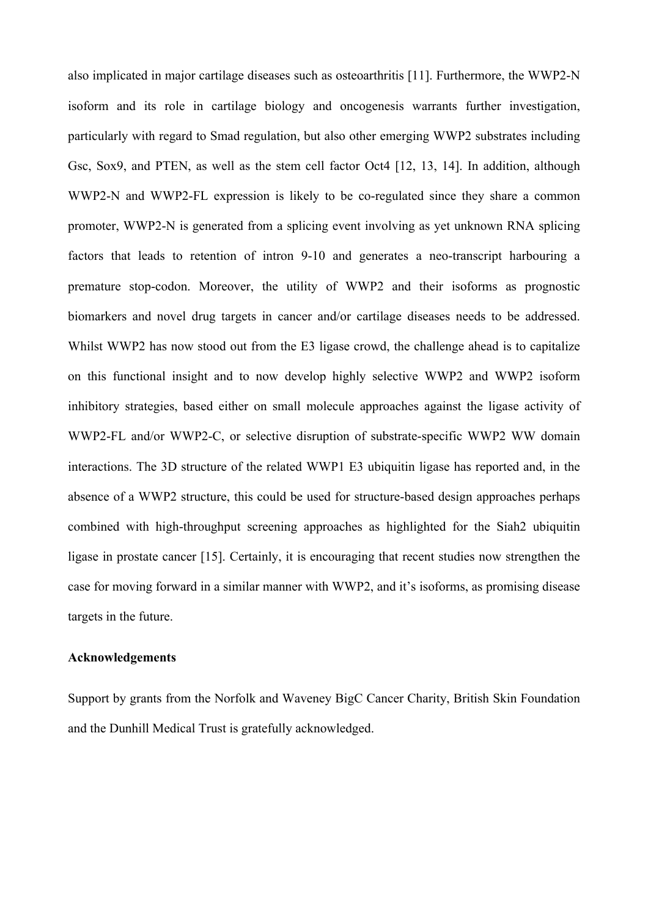also implicated in major cartilage diseases such as osteoarthritis [11]. Furthermore, the WWP2-N isoform and its role in cartilage biology and oncogenesis warrants further investigation, particularly with regard to Smad regulation, but also other emerging WWP2 substrates including Gsc, Sox9, and PTEN, as well as the stem cell factor Oct4 [12, 13, 14]. In addition, although WWP2-N and WWP2-FL expression is likely to be co-regulated since they share a common promoter, WWP2-N is generated from a splicing event involving as yet unknown RNA splicing factors that leads to retention of intron 9-10 and generates a neo-transcript harbouring a premature stop-codon. Moreover, the utility of WWP2 and their isoforms as prognostic biomarkers and novel drug targets in cancer and/or cartilage diseases needs to be addressed. Whilst WWP2 has now stood out from the E3 ligase crowd, the challenge ahead is to capitalize on this functional insight and to now develop highly selective WWP2 and WWP2 isoform inhibitory strategies, based either on small molecule approaches against the ligase activity of WWP2-FL and/or WWP2-C, or selective disruption of substrate-specific WWP2 WW domain interactions. The 3D structure of the related WWP1 E3 ubiquitin ligase has reported and, in the absence of a WWP2 structure, this could be used for structure-based design approaches perhaps combined with high-throughput screening approaches as highlighted for the Siah2 ubiquitin ligase in prostate cancer [15]. Certainly, it is encouraging that recent studies now strengthen the case for moving forward in a similar manner with WWP2, and it's isoforms, as promising disease targets in the future.

### **Acknowledgements**

Support by grants from the Norfolk and Waveney BigC Cancer Charity, British Skin Foundation and the Dunhill Medical Trust is gratefully acknowledged.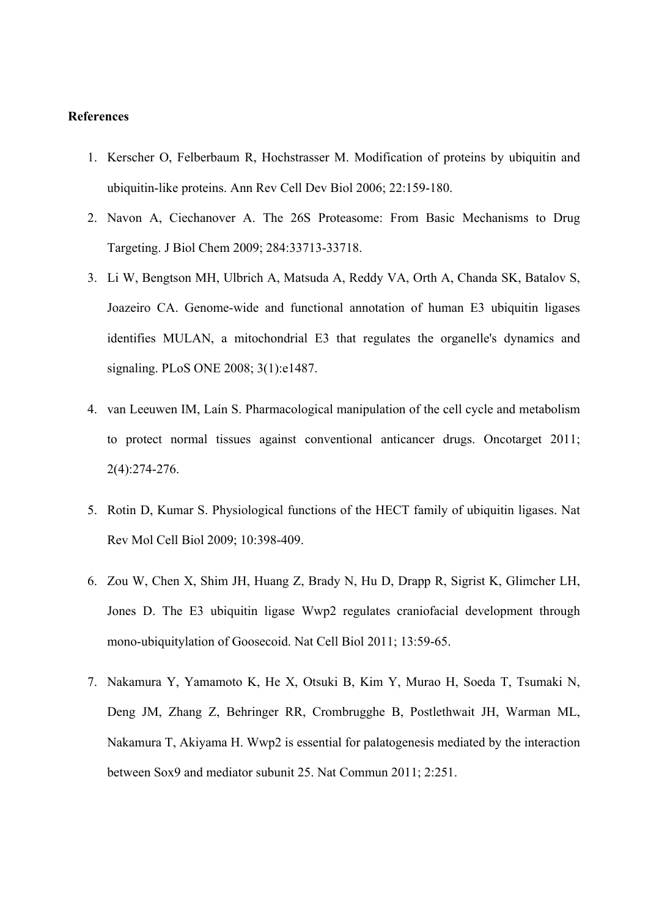### **References**

- 1. Kerscher O, Felberbaum R, Hochstrasser M. Modification of proteins by ubiquitin and ubiquitin-like proteins. Ann Rev Cell Dev Biol 2006; 22:159-180.
- 2. Navon A, Ciechanover A. The 26S Proteasome: From Basic Mechanisms to Drug Targeting. J Biol Chem 2009; 284:33713-33718.
- 3. Li W, Bengtson MH, Ulbrich A, Matsuda A, Reddy VA, Orth A, Chanda SK, Batalov S, Joazeiro CA. Genome-wide and functional annotation of human E3 ubiquitin ligases identifies MULAN, a mitochondrial E3 that regulates the organelle's dynamics and signaling. PLoS ONE 2008; 3(1):e1487.
- 4. van Leeuwen IM, Laín S. Pharmacological manipulation of the cell cycle and metabolism to protect normal tissues against conventional anticancer drugs. Oncotarget 2011; 2(4):274-276.
- 5. Rotin D, Kumar S. Physiological functions of the HECT family of ubiquitin ligases. Nat Rev Mol Cell Biol 2009; 10:398-409.
- 6. Zou W, Chen X, Shim JH, Huang Z, Brady N, Hu D, Drapp R, Sigrist K, Glimcher LH, Jones D. The E3 ubiquitin ligase Wwp2 regulates craniofacial development through mono-ubiquitylation of Goosecoid. Nat Cell Biol 2011; 13:59-65.
- 7. Nakamura Y, Yamamoto K, He X, Otsuki B, Kim Y, Murao H, Soeda T, Tsumaki N, Deng JM, Zhang Z, Behringer RR, Crombrugghe B, Postlethwait JH, Warman ML, Nakamura T, Akiyama H. Wwp2 is essential for palatogenesis mediated by the interaction between Sox9 and mediator subunit 25. Nat Commun 2011; 2:251.